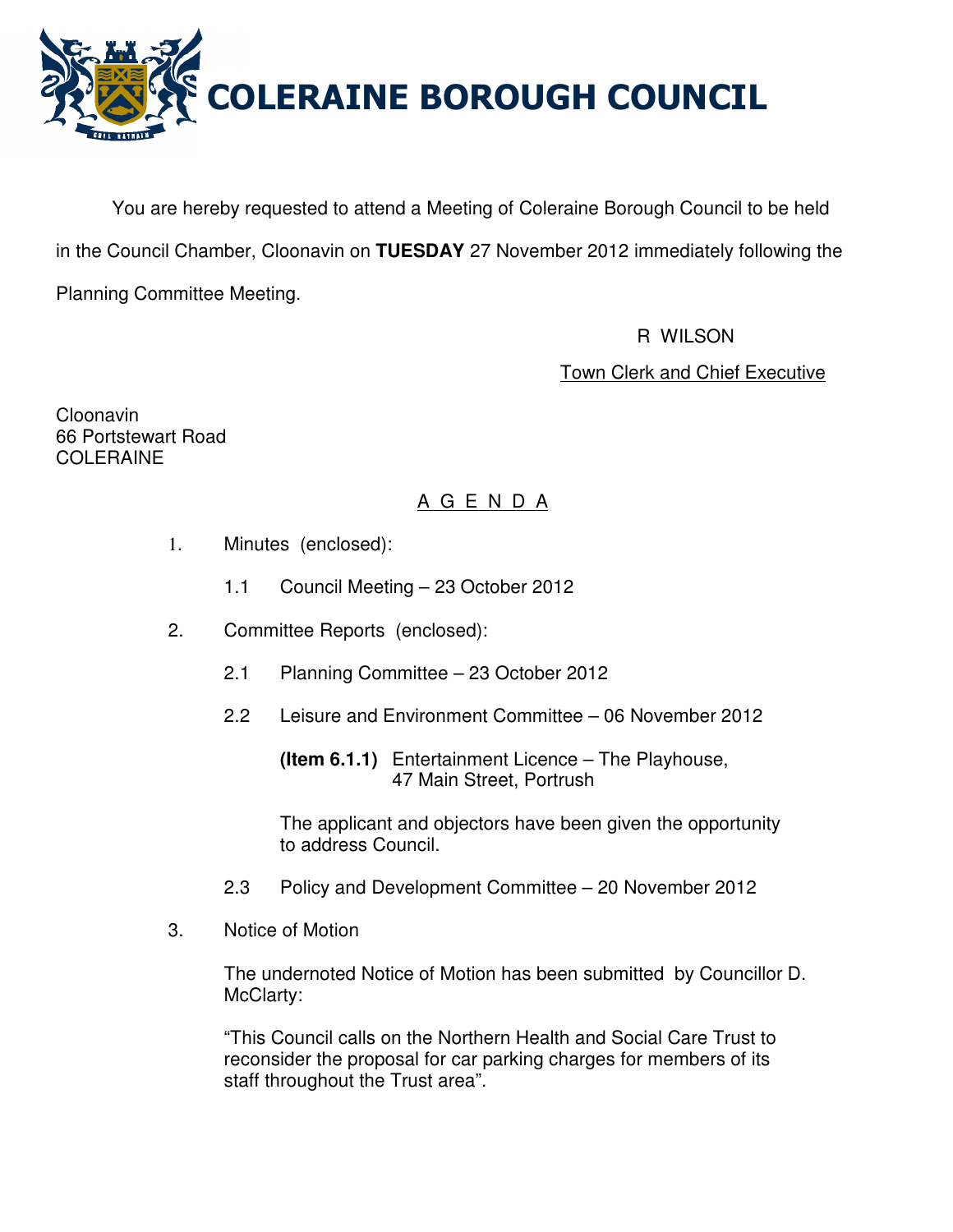

You are hereby requested to attend a Meeting of Coleraine Borough Council to be held in the Council Chamber, Cloonavin on **TUESDAY** 27 November 2012 immediately following the Planning Committee Meeting.

R WILSON

Town Clerk and Chief Executive

Cloonavin 66 Portstewart Road COLERAINE

# A G E N D A

- 1. Minutes (enclosed):
	- 1.1 Council Meeting 23 October 2012
- 2. Committee Reports (enclosed):
	- 2.1 Planning Committee 23 October 2012
	- 2.2 Leisure and Environment Committee 06 November 2012

 The applicant and objectors have been given the opportunity to address Council.

- 2.3 Policy and Development Committee 20 November 2012
- 3. Notice of Motion

 The undernoted Notice of Motion has been submitted by Councillor D. McClarty:

 "This Council calls on the Northern Health and Social Care Trust to reconsider the proposal for car parking charges for members of its staff throughout the Trust area".

**(Item 6.1.1)** Entertainment Licence – The Playhouse, 47 Main Street, Portrush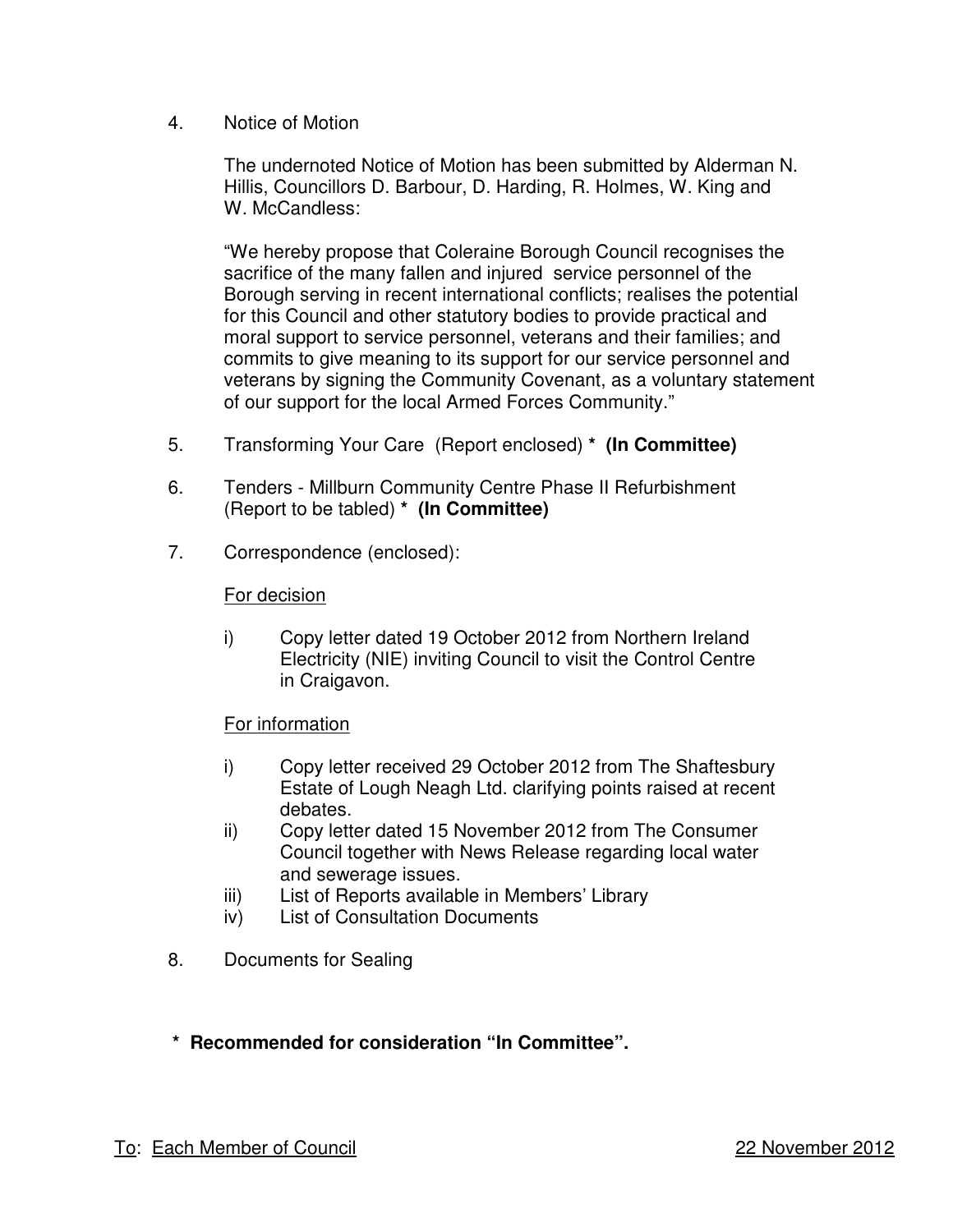4. Notice of Motion

 The undernoted Notice of Motion has been submitted by Alderman N. Hillis, Councillors D. Barbour, D. Harding, R. Holmes, W. King and W. McCandless:

"We hereby propose that Coleraine Borough Council recognises the sacrifice of the many fallen and injured service personnel of the Borough serving in recent international conflicts; realises the potential for this Council and other statutory bodies to provide practical and moral support to service personnel, veterans and their families; and commits to give meaning to its support for our service personnel and veterans by signing the Community Covenant, as a voluntary statement of our support for the local Armed Forces Community."

- 5. Transforming Your Care (Report enclosed) **\* (In Committee)**
- 6. Tenders Millburn Community Centre Phase II Refurbishment (Report to be tabled) **\* (In Committee)**
- 7. Correspondence (enclosed):

# For decision

 i) Copy letter dated 19 October 2012 from Northern Ireland Electricity (NIE) inviting Council to visit the Control Centre in Craigavon.

# For information

- i) Copy letter received 29 October 2012 from The Shaftesbury Estate of Lough Neagh Ltd. clarifying points raised at recent debates.
- ii) Copy letter dated 15 November 2012 from The Consumer Council together with News Release regarding local water and sewerage issues.
- iii) List of Reports available in Members' Library
- iv) List of Consultation Documents
- 8. Documents for Sealing
- **\* Recommended for consideration "In Committee".**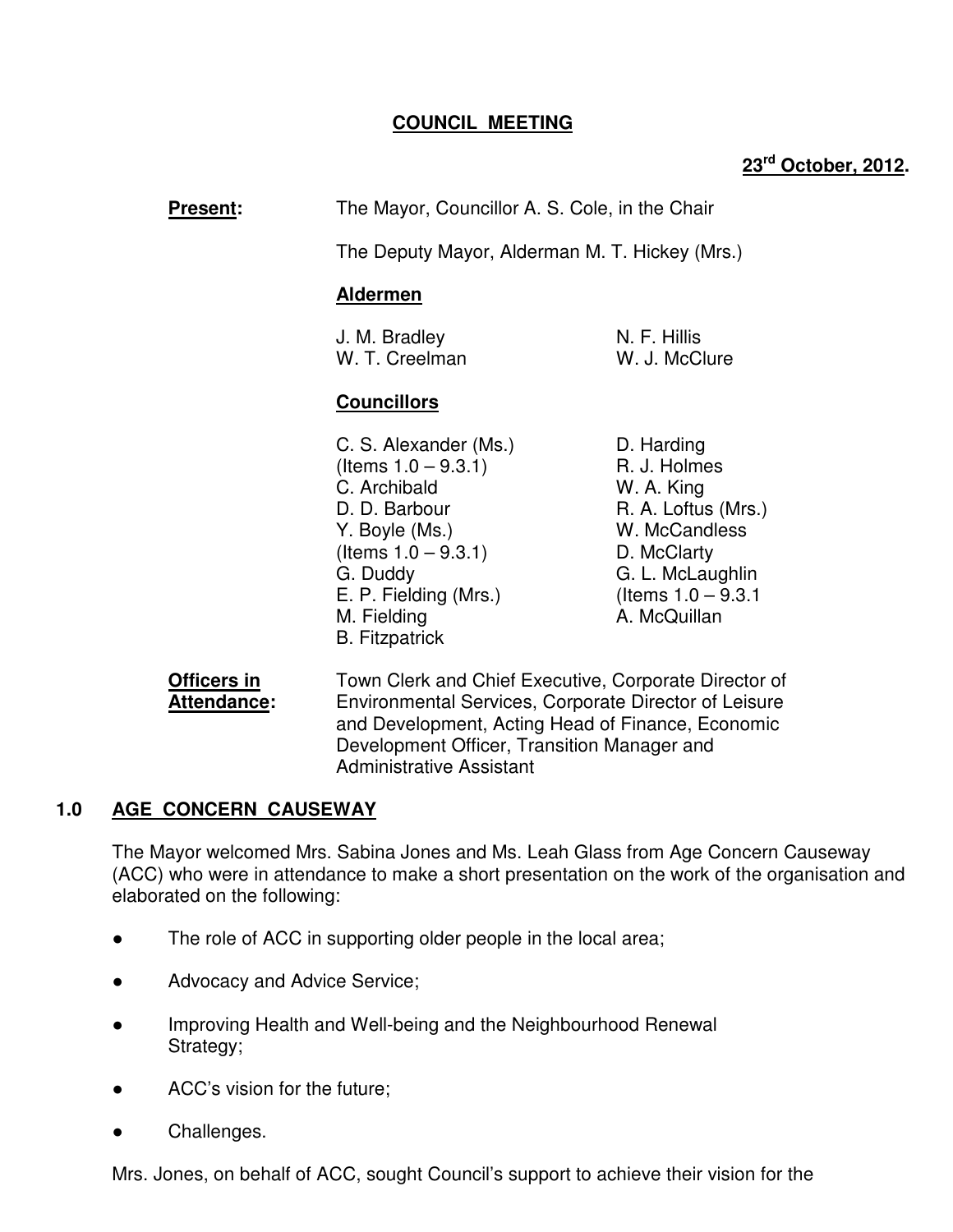# **COUNCIL MEETING**

# **23rd October, 2012.**

**Present:** The Mayor, Councillor A. S. Cole, in the Chair

The Deputy Mayor, Alderman M. T. Hickey (Mrs.)

## **Aldermen**

J. M. Bradley N. F. Hillis W. T. Creelman W. J. McClure

# **Councillors**

- C. S. Alexander (Ms.) D. Harding  $($ ltems  $1.0 - 9.3.1)$  R. J. Holmes C. Archibald W. A. King D. D. Barbour R. A. Loftus (Mrs.) Y. Boyle (Ms.) W. McCandless  $($ ltems  $1.0 - 9.3.1)$  D. McClarty G. Duddy G. L. McLaughlin E. P. Fielding (Mrs.) (Items  $1.0 - 9.3.1$ M. Fielding **A. McQuillan**  B. Fitzpatrick
	-

**Officers in Town Clerk and Chief Executive, Corporate Director of Attendance:** Environmental Services, Corporate Director of Leisure and Development, Acting Head of Finance, Economic Development Officer, Transition Manager and Administrative Assistant

# **1.0 AGE CONCERN CAUSEWAY**

The Mayor welcomed Mrs. Sabina Jones and Ms. Leah Glass from Age Concern Causeway (ACC) who were in attendance to make a short presentation on the work of the organisation and elaborated on the following:

- The role of ACC in supporting older people in the local area;
- Advocacy and Advice Service;
- Improving Health and Well-being and the Neighbourhood Renewal Strategy;
- ACC's vision for the future;
- Challenges.

Mrs. Jones, on behalf of ACC, sought Council's support to achieve their vision for the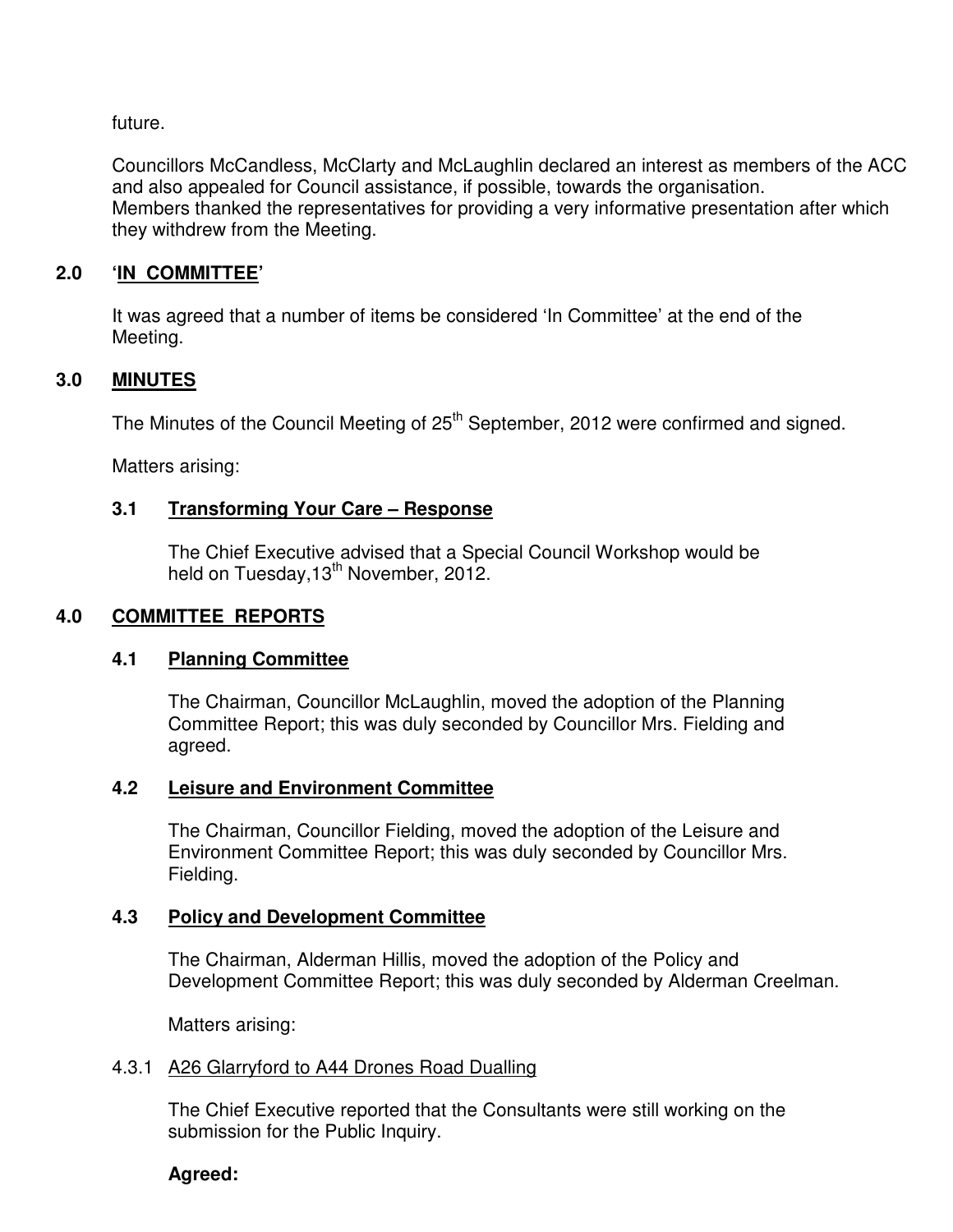future.

Councillors McCandless, McClarty and McLaughlin declared an interest as members of the ACC and also appealed for Council assistance, if possible, towards the organisation. Members thanked the representatives for providing a very informative presentation after which they withdrew from the Meeting.

# **2.0 'IN COMMITTEE'**

 It was agreed that a number of items be considered 'In Committee' at the end of the Meeting.

# **3.0 MINUTES**

The Minutes of the Council Meeting of 25<sup>th</sup> September, 2012 were confirmed and signed.

Matters arising:

# **3.1 Transforming Your Care – Response**

 The Chief Executive advised that a Special Council Workshop would be held on Tuesday, 13<sup>th</sup> November, 2012.

# **4.0 COMMITTEE REPORTS**

# **4.1 Planning Committee**

 The Chairman, Councillor McLaughlin, moved the adoption of the Planning Committee Report; this was duly seconded by Councillor Mrs. Fielding and agreed.

# **4.2 Leisure and Environment Committee**

 The Chairman, Councillor Fielding, moved the adoption of the Leisure and Environment Committee Report; this was duly seconded by Councillor Mrs. Fielding.

# **4.3 Policy and Development Committee**

 The Chairman, Alderman Hillis, moved the adoption of the Policy and Development Committee Report; this was duly seconded by Alderman Creelman.

Matters arising:

# 4.3.1 A26 Glarryford to A44 Drones Road Dualling

 The Chief Executive reported that the Consultants were still working on the submission for the Public Inquiry.

# **Agreed:**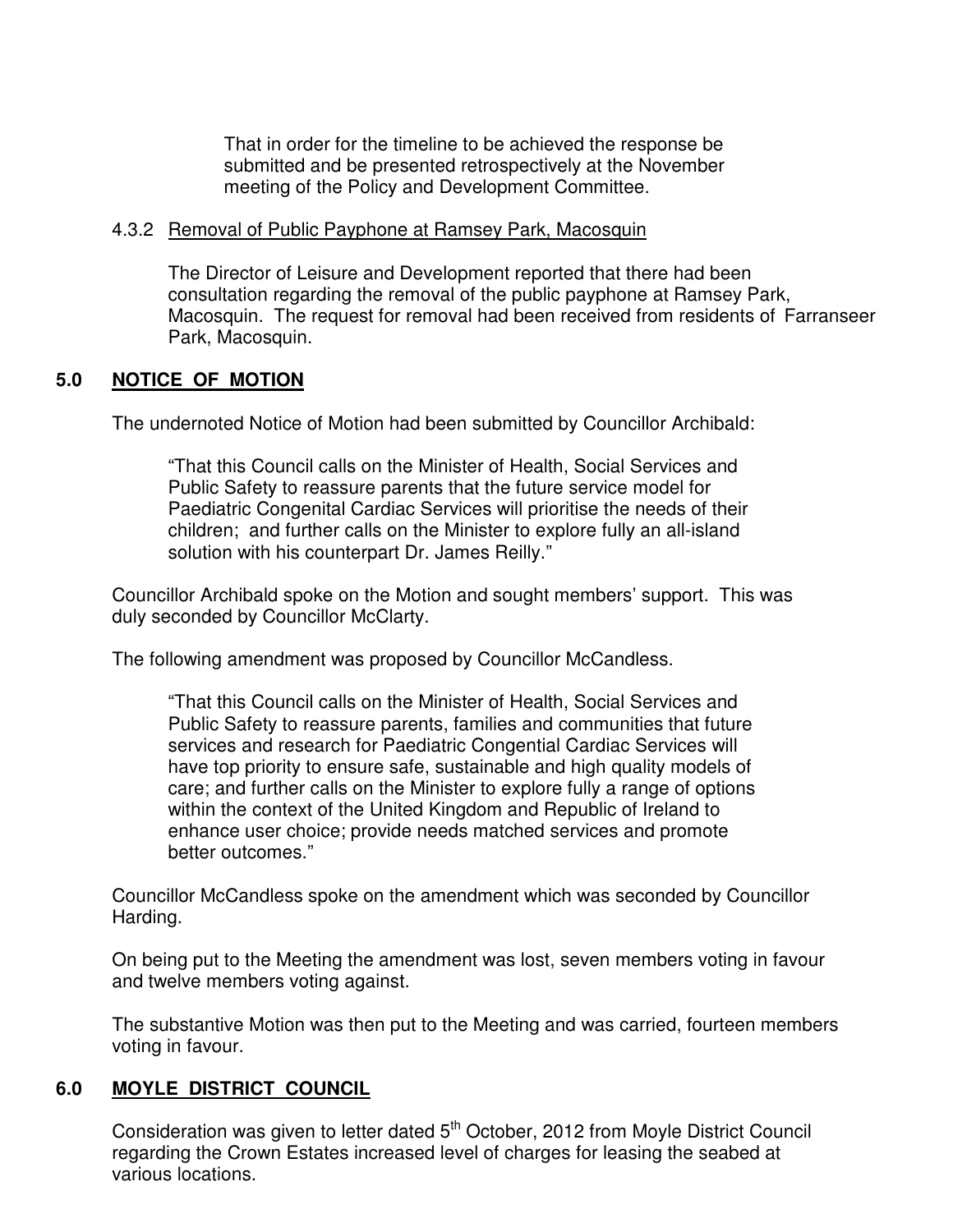That in order for the timeline to be achieved the response be submitted and be presented retrospectively at the November meeting of the Policy and Development Committee.

## 4.3.2 Removal of Public Payphone at Ramsey Park, Macosquin

 The Director of Leisure and Development reported that there had been consultation regarding the removal of the public payphone at Ramsey Park, Macosquin. The request for removal had been received from residents of Farranseer Park, Macosquin.

# **5.0 NOTICE OF MOTION**

The undernoted Notice of Motion had been submitted by Councillor Archibald:

"That this Council calls on the Minister of Health, Social Services and Public Safety to reassure parents that the future service model for Paediatric Congenital Cardiac Services will prioritise the needs of their children; and further calls on the Minister to explore fully an all-island solution with his counterpart Dr. James Reilly."

 Councillor Archibald spoke on the Motion and sought members' support. This was duly seconded by Councillor McClarty.

The following amendment was proposed by Councillor McCandless.

 "That this Council calls on the Minister of Health, Social Services and Public Safety to reassure parents, families and communities that future services and research for Paediatric Congential Cardiac Services will have top priority to ensure safe, sustainable and high quality models of care; and further calls on the Minister to explore fully a range of options within the context of the United Kingdom and Republic of Ireland to enhance user choice; provide needs matched services and promote better outcomes."

 Councillor McCandless spoke on the amendment which was seconded by Councillor Harding.

 On being put to the Meeting the amendment was lost, seven members voting in favour and twelve members voting against.

 The substantive Motion was then put to the Meeting and was carried, fourteen members voting in favour.

# **6.0 MOYLE DISTRICT COUNCIL**

Consideration was given to letter dated  $5<sup>th</sup>$  October, 2012 from Moyle District Council regarding the Crown Estates increased level of charges for leasing the seabed at various locations.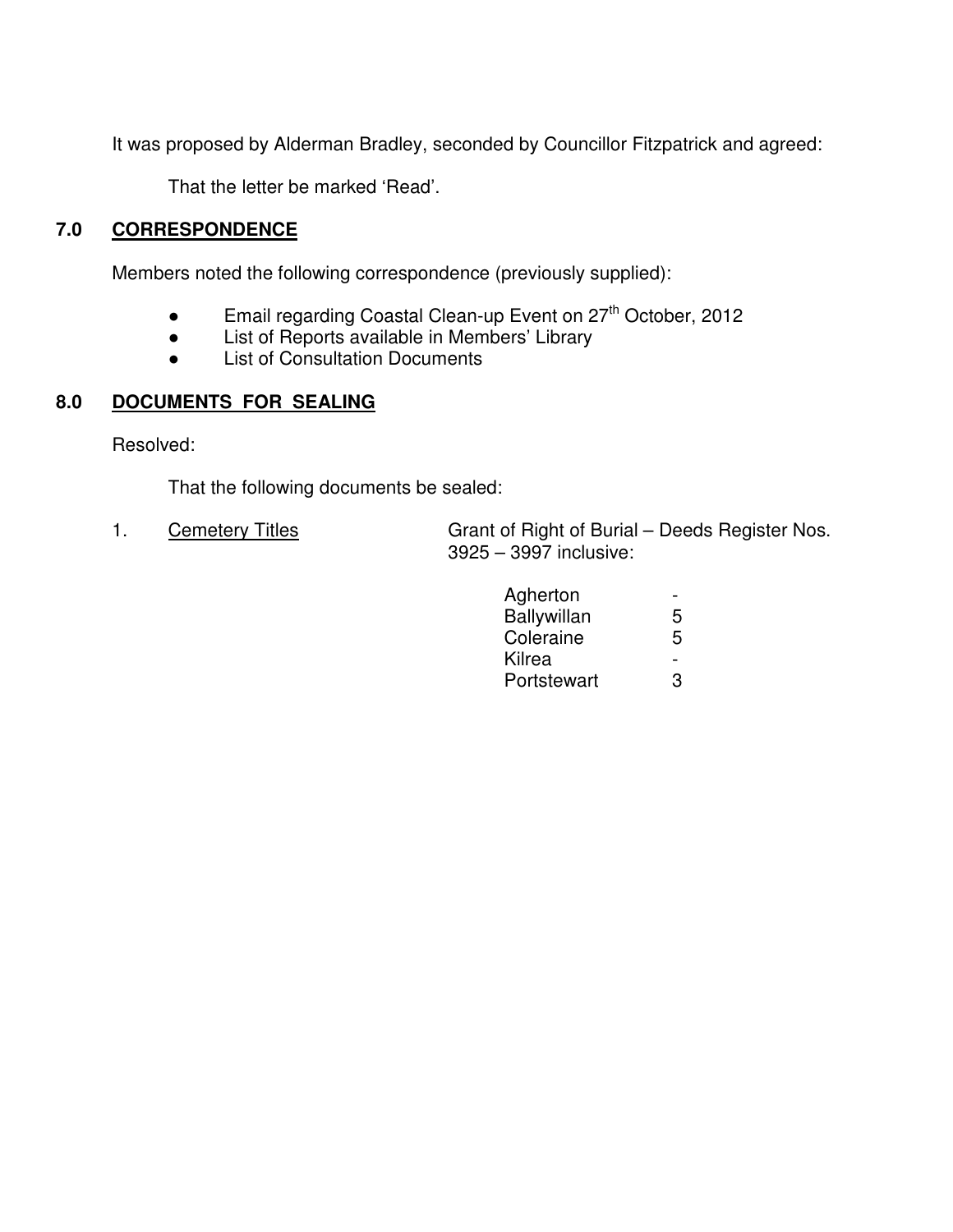It was proposed by Alderman Bradley, seconded by Councillor Fitzpatrick and agreed:

That the letter be marked 'Read'.

# **7.0 CORRESPONDENCE**

Members noted the following correspondence (previously supplied):

- **•** Email regarding Coastal Clean-up Event on  $27<sup>th</sup>$  October, 2012
- List of Reports available in Members' Library
- List of Consultation Documents

# **8.0 DOCUMENTS FOR SEALING**

Resolved:

That the following documents be sealed:

1. Cemetery Titles Grant of Right of Burial – Deeds Register Nos. 3925 – 3997 inclusive:

| Agherton    | $\overline{\phantom{0}}$ |
|-------------|--------------------------|
| Ballywillan | 5                        |
| Coleraine   | 5                        |
| Kilrea      | -                        |
| Portstewart | 3                        |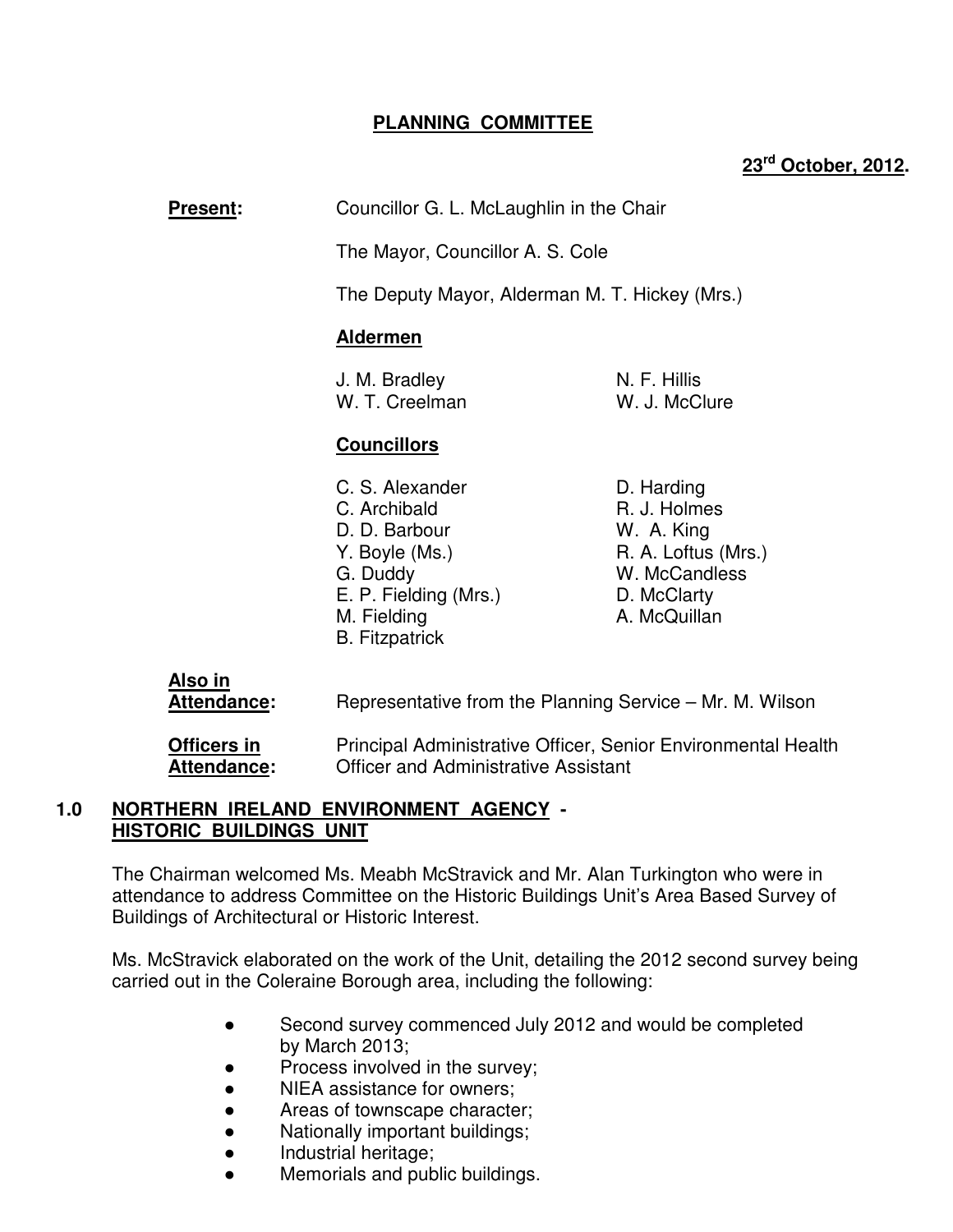# **PLANNING COMMITTEE**

# **23rd October, 2012.**

**Present:** Councillor G. L. McLaughlin in the Chair

The Mayor, Councillor A. S. Cole

The Deputy Mayor, Alderman M. T. Hickey (Mrs.)

## **Aldermen**

| J. M. Bradley  | N. F. Hillis  |
|----------------|---------------|
| W. T. Creelman | W. J. McClure |

# **Councillors**

- C. S. Alexander D. Harding C. Archibald R. J. Holmes D. D. Barbour W. A. King Y. Boyle (Ms.) R. A. Loftus (Mrs.) G. Duddy W. McCandless E. P. Fielding (Mrs.) D. McClarty M. Fielding **A. McQuillan** B. Fitzpatrick
- 

**Also in**

Attendance: Representative from the Planning Service – Mr. M. Wilson

**Officers in <b>Principal Administrative Officer**, Senior Environmental Health **Attendance:** Officer and Administrative Assistant

## **1.0 NORTHERN IRELAND ENVIRONMENT AGENCY - HISTORIC BUILDINGS UNIT**

 The Chairman welcomed Ms. Meabh McStravick and Mr. Alan Turkington who were in attendance to address Committee on the Historic Buildings Unit's Area Based Survey of Buildings of Architectural or Historic Interest.

Ms. McStravick elaborated on the work of the Unit, detailing the 2012 second survey being carried out in the Coleraine Borough area, including the following:

- Second survey commenced July 2012 and would be completed by March 2013;
- Process involved in the survey;
- NIEA assistance for owners;
- Areas of townscape character;
- Nationally important buildings;
- Industrial heritage;
- Memorials and public buildings.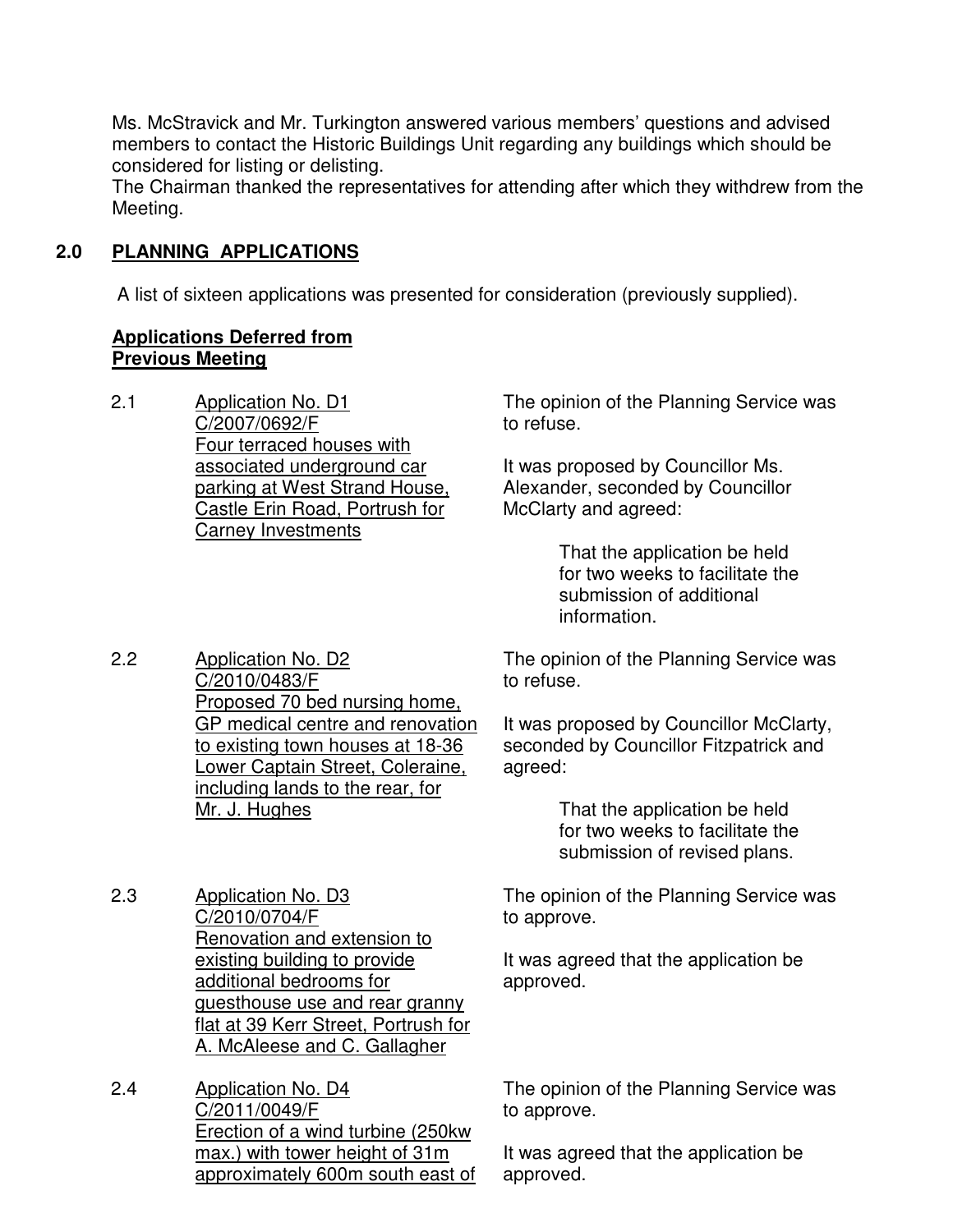Ms. McStravick and Mr. Turkington answered various members' questions and advised members to contact the Historic Buildings Unit regarding any buildings which should be considered for listing or delisting.

The Chairman thanked the representatives for attending after which they withdrew from the Meeting.

# **2.0 PLANNING APPLICATIONS**

A list of sixteen applications was presented for consideration (previously supplied).

# **Applications Deferred from Previous Meeting**

2.1 Application No. D1 C/2007/0692/F Four terraced houses with associated underground car parking at West Strand House, Castle Erin Road, Portrush for Carney Investments

The opinion of the Planning Service was to refuse.

It was proposed by Councillor Ms. Alexander, seconded by Councillor McClarty and agreed:

> That the application be held for two weeks to facilitate the submission of additional information.

2.2 Application No. D2 C/2010/0483/F Proposed 70 bed nursing home, GP medical centre and renovation to existing town houses at 18-36 Lower Captain Street, Coleraine, including lands to the rear, for The opinion of the Planning Service was to refuse. It was proposed by Councillor McClarty, seconded by Councillor Fitzpatrick and agreed:

 That the application be held for two weeks to facilitate the

submission of revised plans.

2.3 Application No. D3 C/2010/0704/F Renovation and extension to existing building to provide additional bedrooms for guesthouse use and rear granny flat at 39 Kerr Street, Portrush for A. McAleese and C. Gallagher

Mr. J. Hughes

2.4 Application No. D4 C/2011/0049/F Erection of a wind turbine (250kw max.) with tower height of 31m approximately 600m south east of The opinion of the Planning Service was to approve.

It was agreed that the application be approved.

The opinion of the Planning Service was to approve.

It was agreed that the application be approved.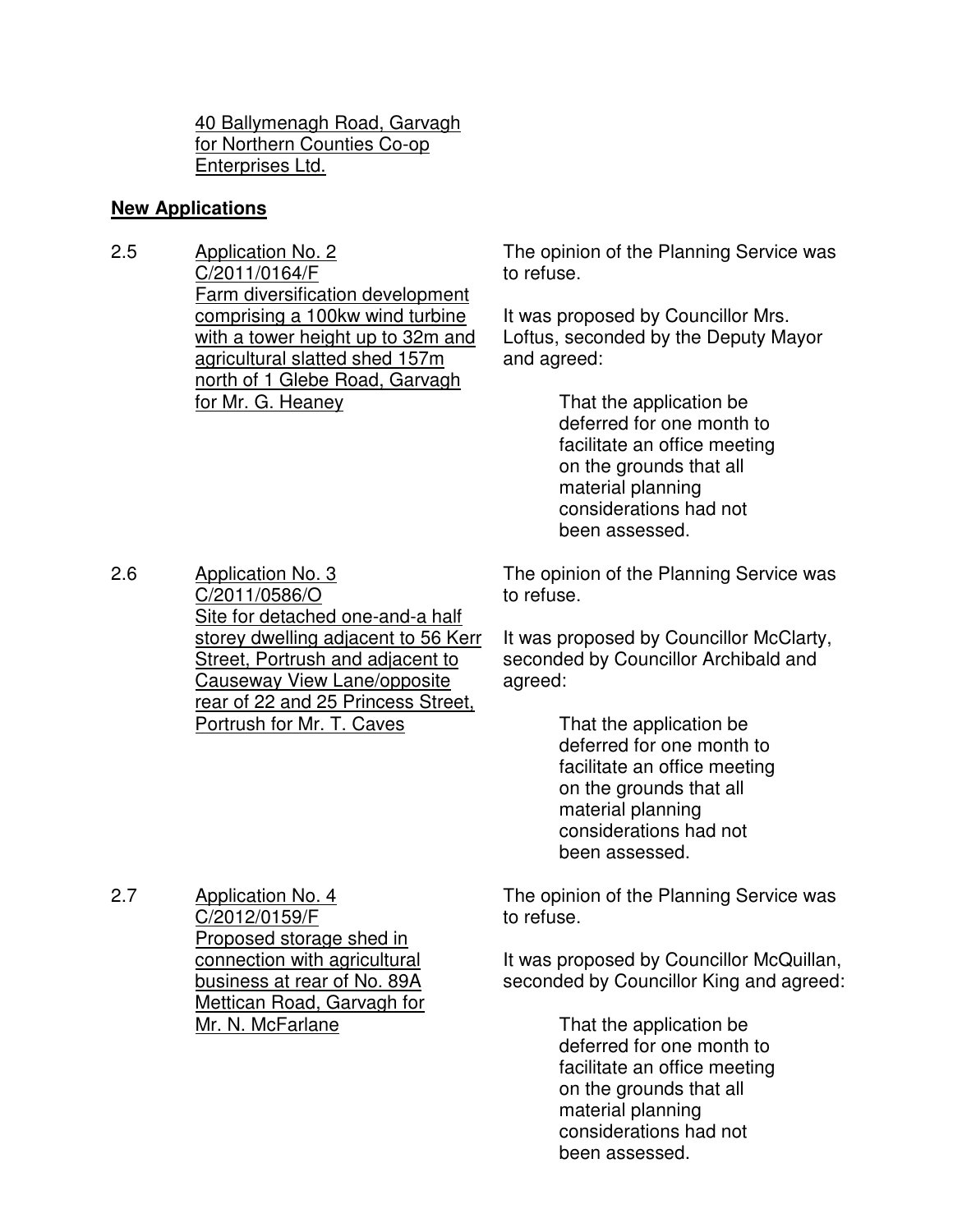40 Ballymenagh Road, Garvagh for Northern Counties Co-op Enterprises Ltd.

## **New Applications**

2.5 Application No. 2 C/2011/0164/F Farm diversification development comprising a 100kw wind turbine with a tower height up to 32m and agricultural slatted shed 157m north of 1 Glebe Road, Garvagh for Mr. G. Heaney

The opinion of the Planning Service was to refuse.

It was proposed by Councillor Mrs. Loftus, seconded by the Deputy Mayor and agreed:

> That the application be deferred for one month to facilitate an office meeting on the grounds that all material planning considerations had not been assessed.

2.6 Application No. 3 C/2011/0586/O Site for detached one-and-a half storey dwelling adjacent to 56 Kerr Street, Portrush and adjacent to Causeway View Lane/opposite rear of 22 and 25 Princess Street, Portrush for Mr. T. Caves

The opinion of the Planning Service was to refuse.

It was proposed by Councillor McClarty, seconded by Councillor Archibald and agreed:

> That the application be deferred for one month to facilitate an office meeting on the grounds that all material planning considerations had not been assessed.

2.7 Application No. 4 C/2012/0159/F Proposed storage shed in connection with agricultural business at rear of No. 89A Mettican Road, Garvagh for Mr. N. McFarlane

The opinion of the Planning Service was to refuse.

It was proposed by Councillor McQuillan, seconded by Councillor King and agreed:

> That the application be deferred for one month to facilitate an office meeting on the grounds that all material planning considerations had not been assessed.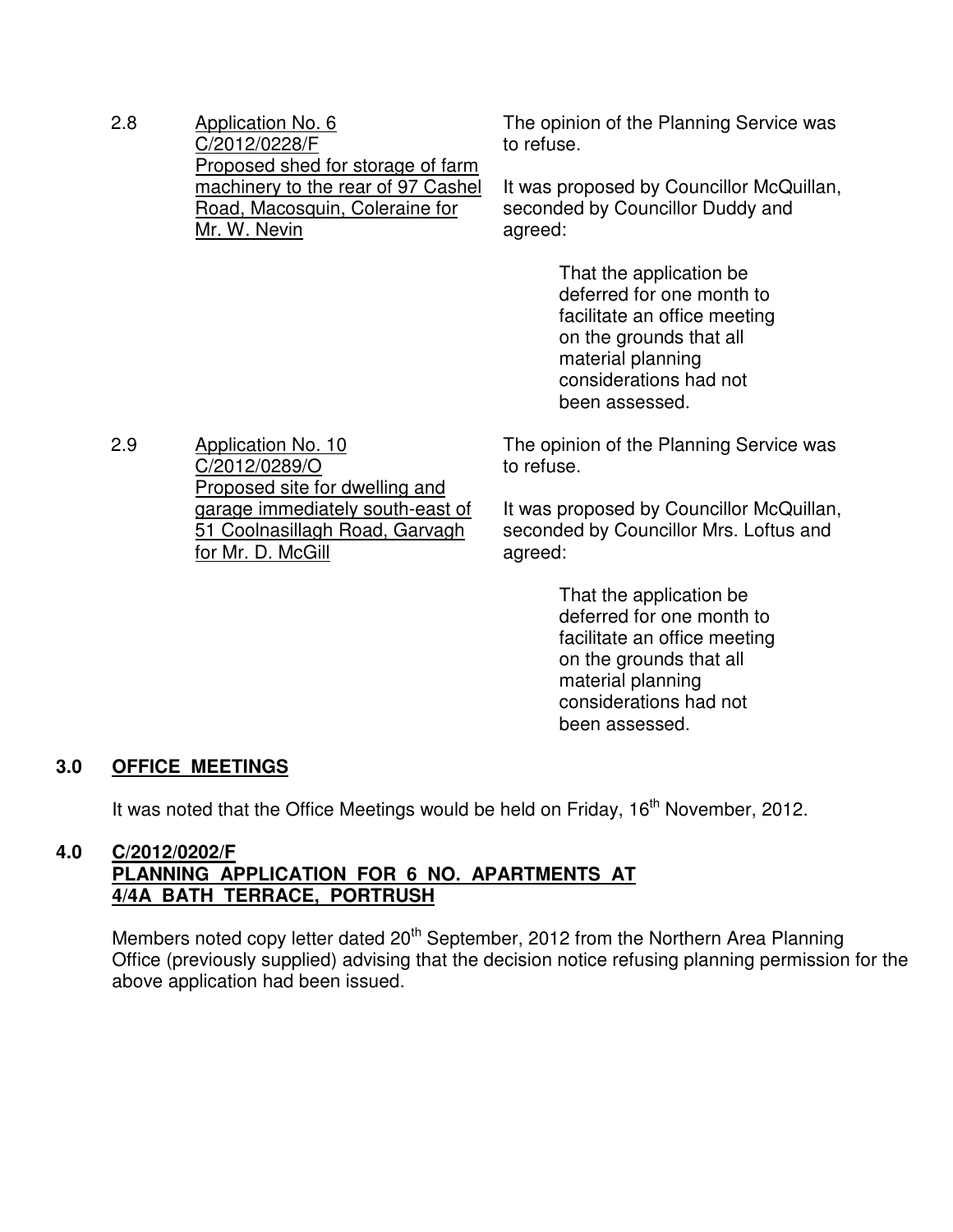2.8 Application No. 6 C/2012/0228/F Proposed shed for storage of farm machinery to the rear of 97 Cashel Road, Macosquin, Coleraine for Mr. W. Nevin

C/2012/0289/O

for Mr. D. McGill

Proposed site for dwelling and garage immediately south-east of 51 Coolnasillagh Road, Garvagh

The opinion of the Planning Service was to refuse.

It was proposed by Councillor McQuillan, seconded by Councillor Duddy and agreed:

> That the application be deferred for one month to facilitate an office meeting on the grounds that all material planning considerations had not been assessed.

The opinion of the Planning Service was to refuse.

It was proposed by Councillor McQuillan, seconded by Councillor Mrs. Loftus and agreed:

> That the application be deferred for one month to facilitate an office meeting on the grounds that all material planning considerations had not been assessed.

# **3.0 OFFICE MEETINGS**

It was noted that the Office Meetings would be held on Friday, 16<sup>th</sup> November, 2012.

## **4.0 C/2012/0202/F PLANNING APPLICATION FOR 6 NO. APARTMENTS AT 4/4A BATH TERRACE, PORTRUSH**

Members noted copy letter dated 20<sup>th</sup> September, 2012 from the Northern Area Planning Office (previously supplied) advising that the decision notice refusing planning permission for the above application had been issued.

2.9 Application No. 10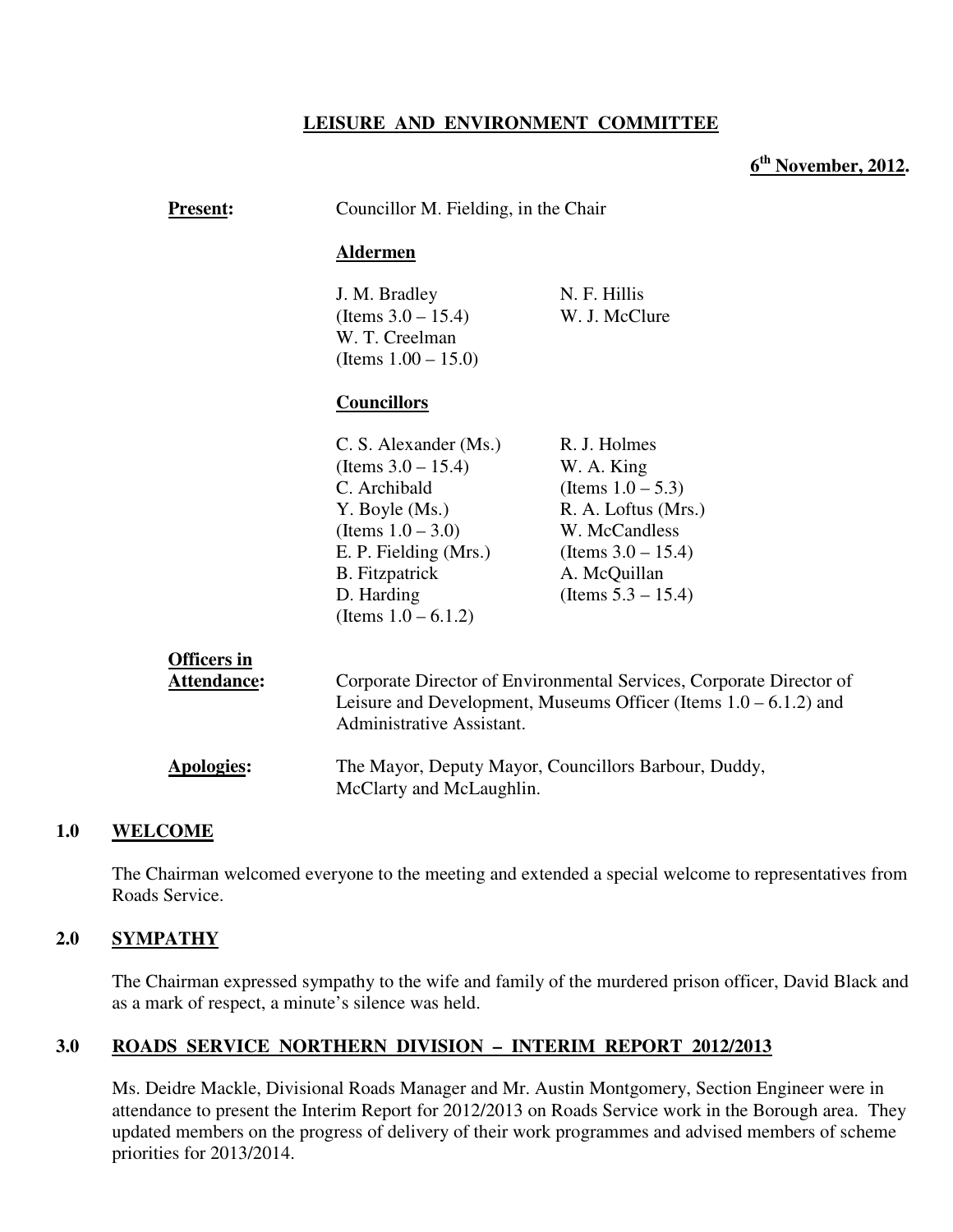## **LEISURE AND ENVIRONMENT COMMITTEE**

**6 th November, 2012.** 

| <b>Present:</b>                          | Councillor M. Fielding, in the Chair                                                                                                                                                               |                                                                                                                                                                         |  |  |
|------------------------------------------|----------------------------------------------------------------------------------------------------------------------------------------------------------------------------------------------------|-------------------------------------------------------------------------------------------------------------------------------------------------------------------------|--|--|
|                                          | <b>Aldermen</b>                                                                                                                                                                                    |                                                                                                                                                                         |  |  |
|                                          | J. M. Bradley<br>(Items $3.0 - 15.4$ )<br>W. T. Creelman<br>(Items $1.00 - 15.0$ )                                                                                                                 | N. F. Hillis<br>W. J. McClure                                                                                                                                           |  |  |
|                                          | <b>Councillors</b>                                                                                                                                                                                 |                                                                                                                                                                         |  |  |
|                                          | C. S. Alexander (Ms.)<br>(Items $3.0 - 15.4$ )<br>C. Archibald<br>Y. Boyle (Ms.)<br>(Items $1.0 - 3.0$ )<br>E. P. Fielding (Mrs.)<br><b>B.</b> Fitzpatrick<br>D. Harding<br>(Items $1.0 - 6.1.2$ ) | R. J. Holmes<br>W. A. King<br>(Items $1.0 - 5.3$ )<br>R. A. Loftus (Mrs.)<br>W. McCandless<br>(Items $3.0 - 15.4$ )<br>A. McQuillan<br>(Items $5.3 - 15.4$ )            |  |  |
| <b>Officers in</b><br><b>Attendance:</b> |                                                                                                                                                                                                    | Corporate Director of Environmental Services, Corporate Director of<br>Leisure and Development, Museums Officer (Items $1.0 - 6.1.2$ ) and<br>Administrative Assistant. |  |  |
| <b>Apologies:</b>                        |                                                                                                                                                                                                    | The Mayor, Deputy Mayor, Councillors Barbour, Duddy,<br>McClarty and McLaughlin.                                                                                        |  |  |
| <b>AME</b>                               |                                                                                                                                                                                                    |                                                                                                                                                                         |  |  |

#### **1.0 WELCOME**

The Chairman welcomed everyone to the meeting and extended a special welcome to representatives from Roads Service.

#### **2.0 SYMPATHY**

The Chairman expressed sympathy to the wife and family of the murdered prison officer, David Black and as a mark of respect, a minute's silence was held.

#### **3.0 ROADS SERVICE NORTHERN DIVISION – INTERIM REPORT 2012/2013**

 Ms. Deidre Mackle, Divisional Roads Manager and Mr. Austin Montgomery, Section Engineer were in attendance to present the Interim Report for 2012/2013 on Roads Service work in the Borough area. They updated members on the progress of delivery of their work programmes and advised members of scheme priorities for 2013/2014.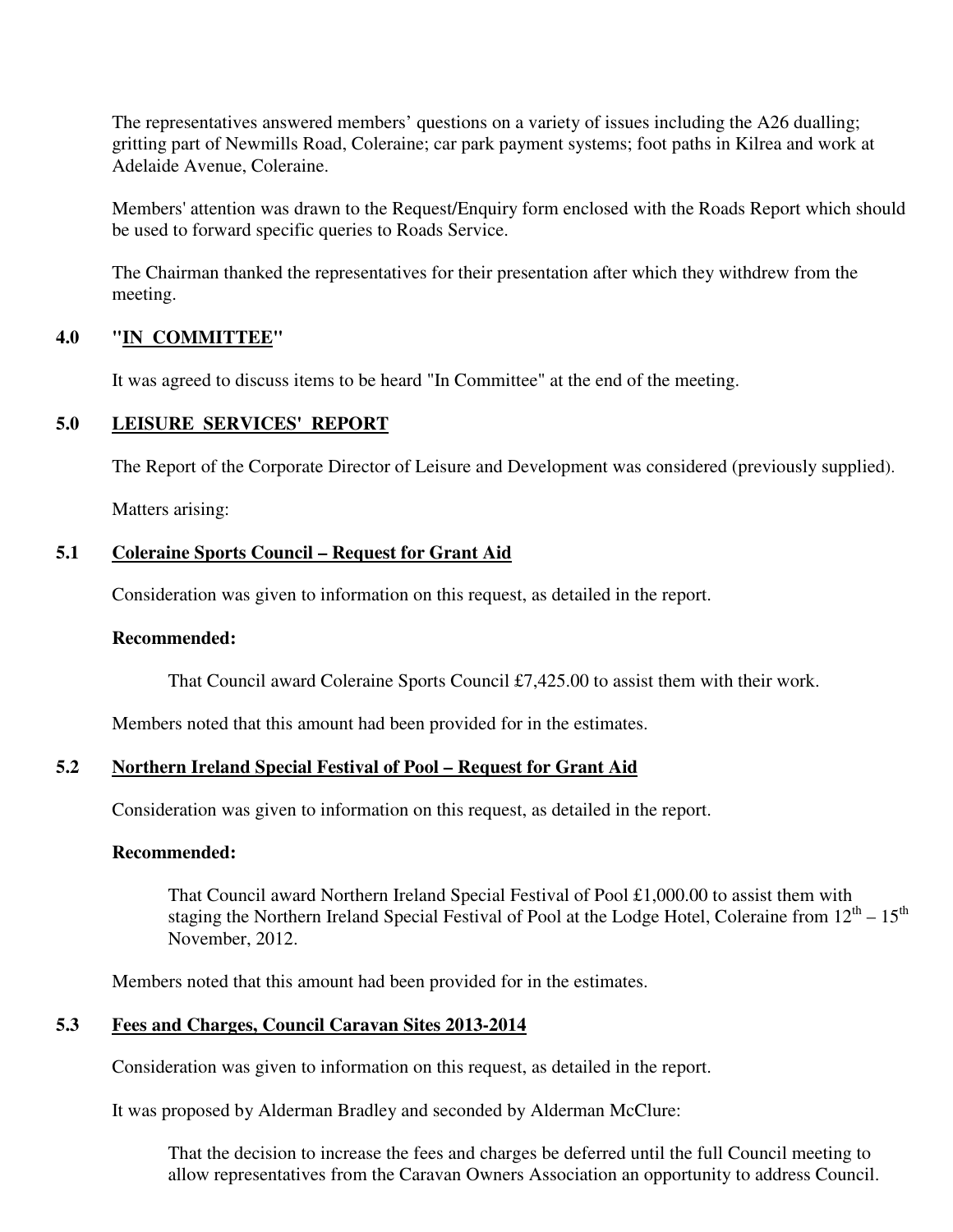The representatives answered members' questions on a variety of issues including the A26 dualling; gritting part of Newmills Road, Coleraine; car park payment systems; foot paths in Kilrea and work at Adelaide Avenue, Coleraine.

Members' attention was drawn to the Request/Enquiry form enclosed with the Roads Report which should be used to forward specific queries to Roads Service.

The Chairman thanked the representatives for their presentation after which they withdrew from the meeting.

## **4.0 "IN COMMITTEE"**

It was agreed to discuss items to be heard "In Committee" at the end of the meeting.

# **5.0 LEISURE SERVICES' REPORT**

The Report of the Corporate Director of Leisure and Development was considered (previously supplied).

Matters arising:

#### **5.1 Coleraine Sports Council – Request for Grant Aid**

Consideration was given to information on this request, as detailed in the report.

#### **Recommended:**

That Council award Coleraine Sports Council £7,425.00 to assist them with their work.

Members noted that this amount had been provided for in the estimates.

# **5.2 Northern Ireland Special Festival of Pool – Request for Grant Aid**

Consideration was given to information on this request, as detailed in the report.

#### **Recommended:**

That Council award Northern Ireland Special Festival of Pool £1,000.00 to assist them with staging the Northern Ireland Special Festival of Pool at the Lodge Hotel, Coleraine from  $12<sup>th</sup> - 15<sup>th</sup>$ November, 2012.

Members noted that this amount had been provided for in the estimates.

# **5.3 Fees and Charges, Council Caravan Sites 2013-2014**

Consideration was given to information on this request, as detailed in the report.

It was proposed by Alderman Bradley and seconded by Alderman McClure:

That the decision to increase the fees and charges be deferred until the full Council meeting to allow representatives from the Caravan Owners Association an opportunity to address Council.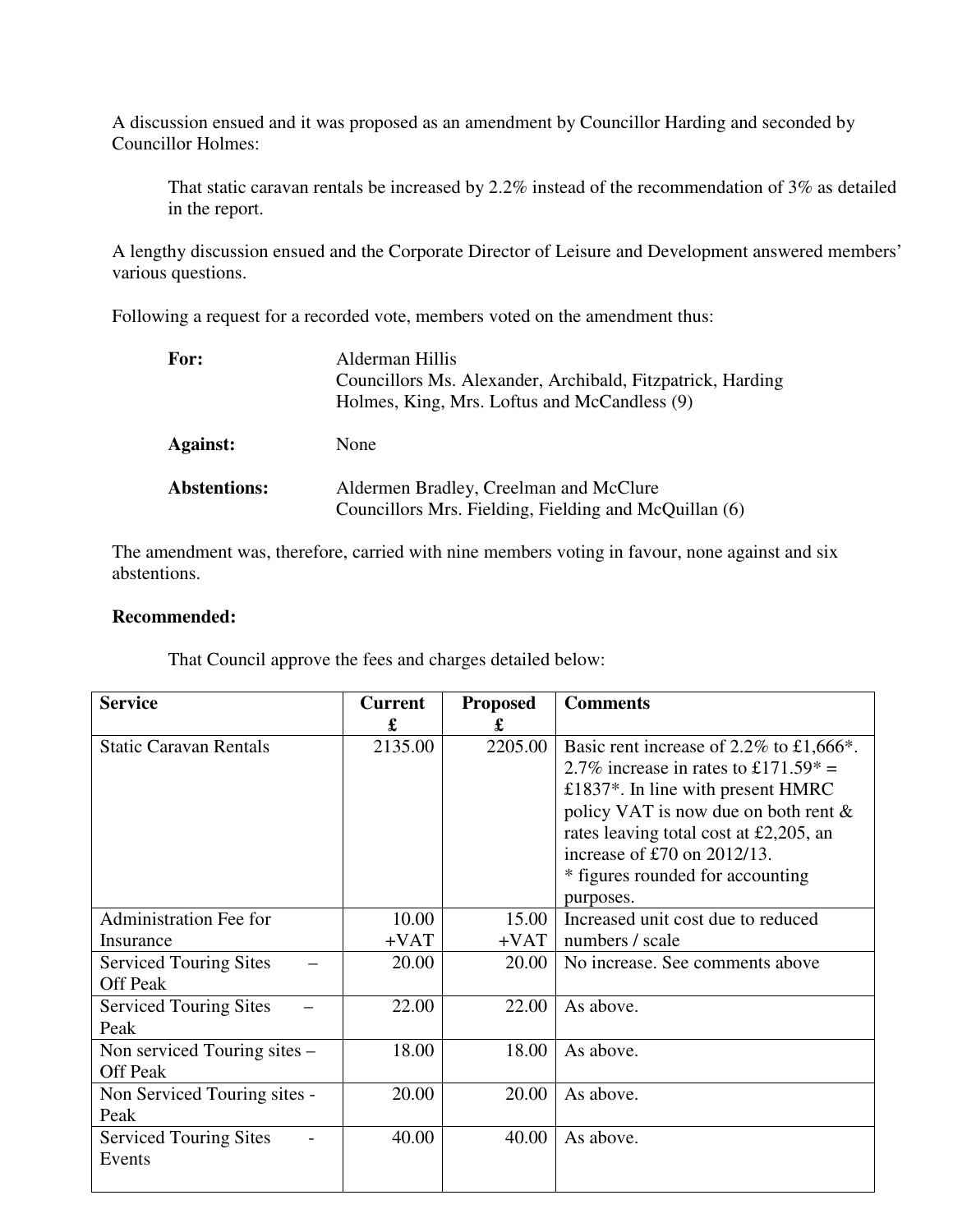A discussion ensued and it was proposed as an amendment by Councillor Harding and seconded by Councillor Holmes:

That static caravan rentals be increased by 2.2% instead of the recommendation of 3% as detailed in the report.

A lengthy discussion ensued and the Corporate Director of Leisure and Development answered members' various questions.

Following a request for a recorded vote, members voted on the amendment thus:

| For:                | Alderman Hillis<br>Councillors Ms. Alexander, Archibald, Fitzpatrick, Harding<br>Holmes, King, Mrs. Loftus and McCandless (9) |
|---------------------|-------------------------------------------------------------------------------------------------------------------------------|
| <b>Against:</b>     | None                                                                                                                          |
| <b>Abstentions:</b> | Aldermen Bradley, Creelman and McClure<br>Councillors Mrs. Fielding, Fielding and McQuillan (6)                               |

The amendment was, therefore, carried with nine members voting in favour, none against and six abstentions.

#### **Recommended:**

That Council approve the fees and charges detailed below:

| <b>Service</b>                                   | <b>Current</b><br>£ | <b>Proposed</b><br>£ | <b>Comments</b>                                                                                                                                                                                                                                                                                   |
|--------------------------------------------------|---------------------|----------------------|---------------------------------------------------------------------------------------------------------------------------------------------------------------------------------------------------------------------------------------------------------------------------------------------------|
| <b>Static Caravan Rentals</b>                    | 2135.00             | 2205.00              | Basic rent increase of 2.2% to £1,666*.<br>2.7% increase in rates to £171.59 $* =$<br>£1837*. In line with present $HMRC$<br>policy VAT is now due on both rent $\&$<br>rates leaving total cost at £2,205, an<br>increase of £70 on $2012/13$ .<br>* figures rounded for accounting<br>purposes. |
| <b>Administration Fee for</b>                    | 10.00               | 15.00                | Increased unit cost due to reduced                                                                                                                                                                                                                                                                |
| Insurance                                        | $+VAT$              | $+VAT$               | numbers / scale                                                                                                                                                                                                                                                                                   |
| <b>Serviced Touring Sites</b><br><b>Off Peak</b> | 20.00               | 20.00                | No increase. See comments above                                                                                                                                                                                                                                                                   |
| <b>Serviced Touring Sites</b><br>Peak            | 22.00               | 22.00                | As above.                                                                                                                                                                                                                                                                                         |
| Non serviced Touring sites –<br><b>Off Peak</b>  | 18.00               | 18.00                | As above.                                                                                                                                                                                                                                                                                         |
| Non Serviced Touring sites -<br>Peak             | 20.00               | 20.00                | As above.                                                                                                                                                                                                                                                                                         |
| <b>Serviced Touring Sites</b><br>Events          | 40.00               | 40.00                | As above.                                                                                                                                                                                                                                                                                         |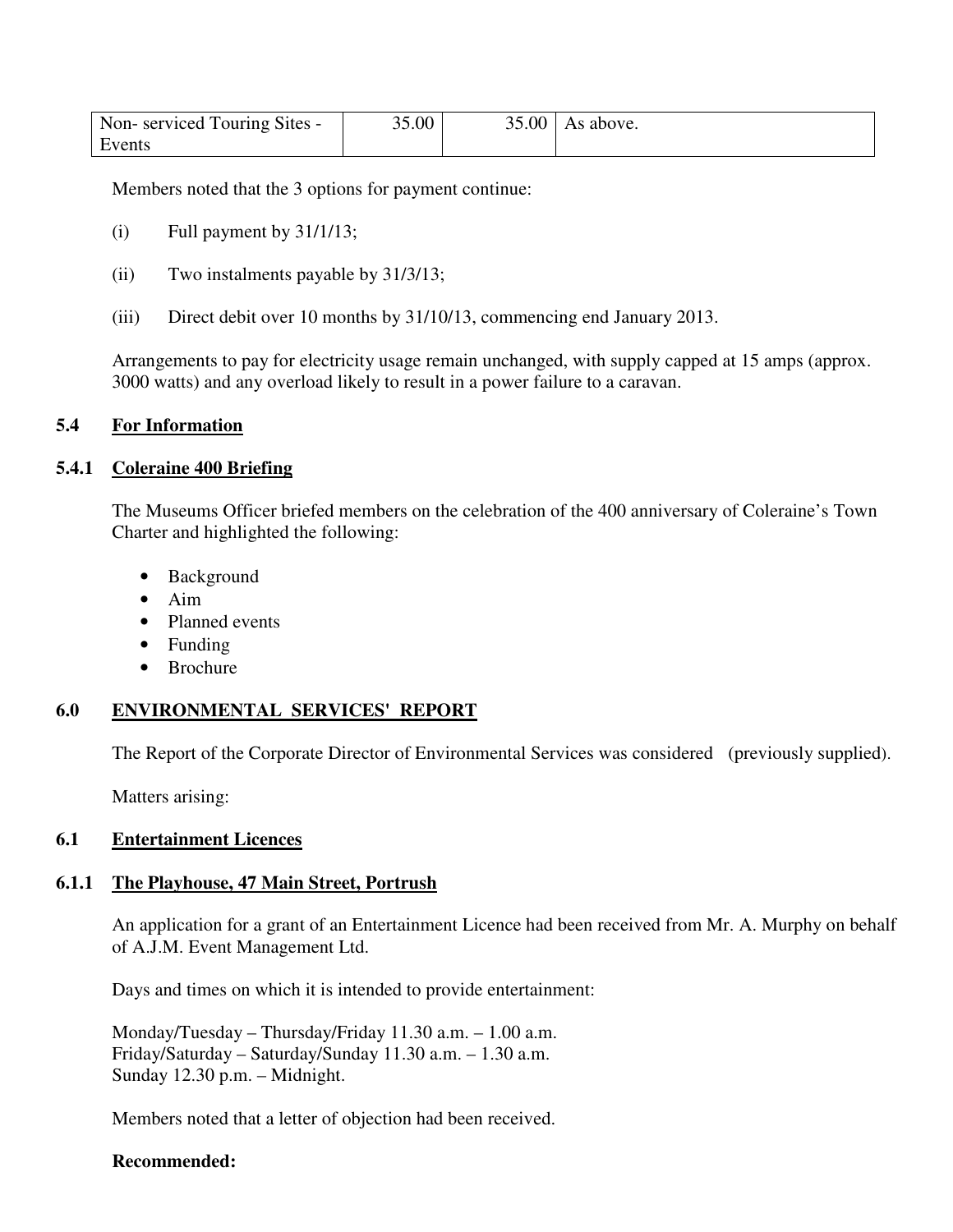| Non-serviced Touring Sites - | 35.00 | $35.00$   As above. |
|------------------------------|-------|---------------------|
| Events                       |       |                     |

Members noted that the 3 options for payment continue:

- $(i)$  Full payment by  $31/1/13$ ;
- (ii) Two instalments payable by 31/3/13;
- (iii) Direct debit over 10 months by 31/10/13, commencing end January 2013.

Arrangements to pay for electricity usage remain unchanged, with supply capped at 15 amps (approx. 3000 watts) and any overload likely to result in a power failure to a caravan.

#### **5.4 For Information**

#### **5.4.1 Coleraine 400 Briefing**

The Museums Officer briefed members on the celebration of the 400 anniversary of Coleraine's Town Charter and highlighted the following:

- Background
- Aim
- Planned events
- Funding
- Brochure

# **6.0 ENVIRONMENTAL SERVICES' REPORT**

The Report of the Corporate Director of Environmental Services was considered (previously supplied).

Matters arising:

## **6.1 Entertainment Licences**

#### **6.1.1 The Playhouse, 47 Main Street, Portrush**

An application for a grant of an Entertainment Licence had been received from Mr. A. Murphy on behalf of A.J.M. Event Management Ltd.

Days and times on which it is intended to provide entertainment:

 Monday/Tuesday – Thursday/Friday 11.30 a.m. – 1.00 a.m. Friday/Saturday – Saturday/Sunday 11.30 a.m. – 1.30 a.m. Sunday 12.30 p.m. – Midnight.

Members noted that a letter of objection had been received.

#### **Recommended:**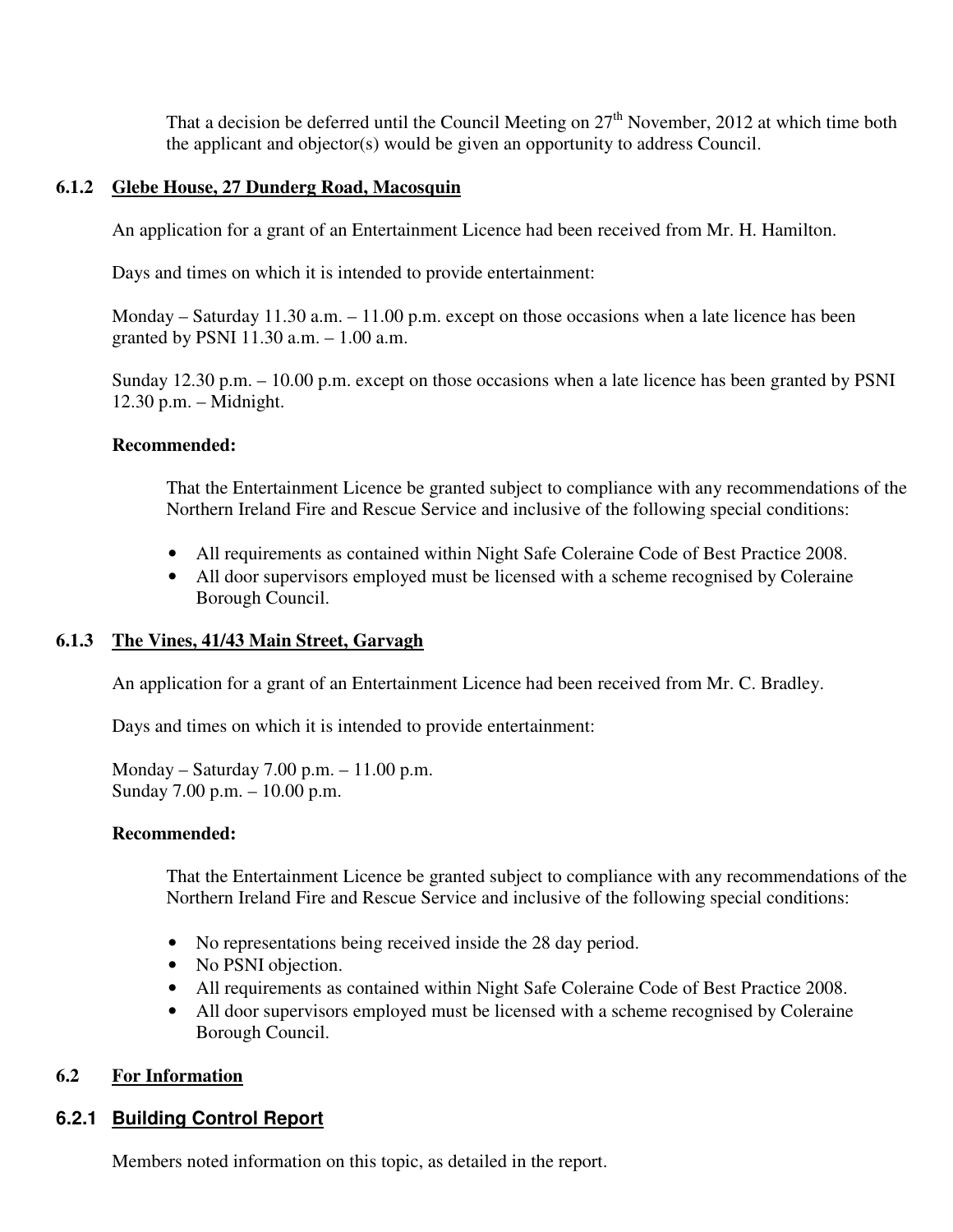That a decision be deferred until the Council Meeting on  $27<sup>th</sup>$  November, 2012 at which time both the applicant and objector(s) would be given an opportunity to address Council.

## **6.1.2 Glebe House, 27 Dunderg Road, Macosquin**

An application for a grant of an Entertainment Licence had been received from Mr. H. Hamilton.

Days and times on which it is intended to provide entertainment:

Monday – Saturday 11.30 a.m. – 11.00 p.m. except on those occasions when a late licence has been granted by PSNI 11.30 a.m. – 1.00 a.m.

Sunday 12.30 p.m. – 10.00 p.m. except on those occasions when a late licence has been granted by PSNI 12.30 p.m. – Midnight.

## **Recommended:**

That the Entertainment Licence be granted subject to compliance with any recommendations of the Northern Ireland Fire and Rescue Service and inclusive of the following special conditions:

- All requirements as contained within Night Safe Coleraine Code of Best Practice 2008.
- All door supervisors employed must be licensed with a scheme recognised by Coleraine Borough Council.

# **6.1.3 The Vines, 41/43 Main Street, Garvagh**

An application for a grant of an Entertainment Licence had been received from Mr. C. Bradley.

Days and times on which it is intended to provide entertainment:

Monday – Saturday 7.00 p.m. – 11.00 p.m. Sunday 7.00 p.m. – 10.00 p.m.

# **Recommended:**

That the Entertainment Licence be granted subject to compliance with any recommendations of the Northern Ireland Fire and Rescue Service and inclusive of the following special conditions:

- No representations being received inside the 28 day period.
- No PSNI objection.
- All requirements as contained within Night Safe Coleraine Code of Best Practice 2008.
- All door supervisors employed must be licensed with a scheme recognised by Coleraine Borough Council.

# **6.2 For Information**

# **6.2.1 Building Control Report**

Members noted information on this topic, as detailed in the report.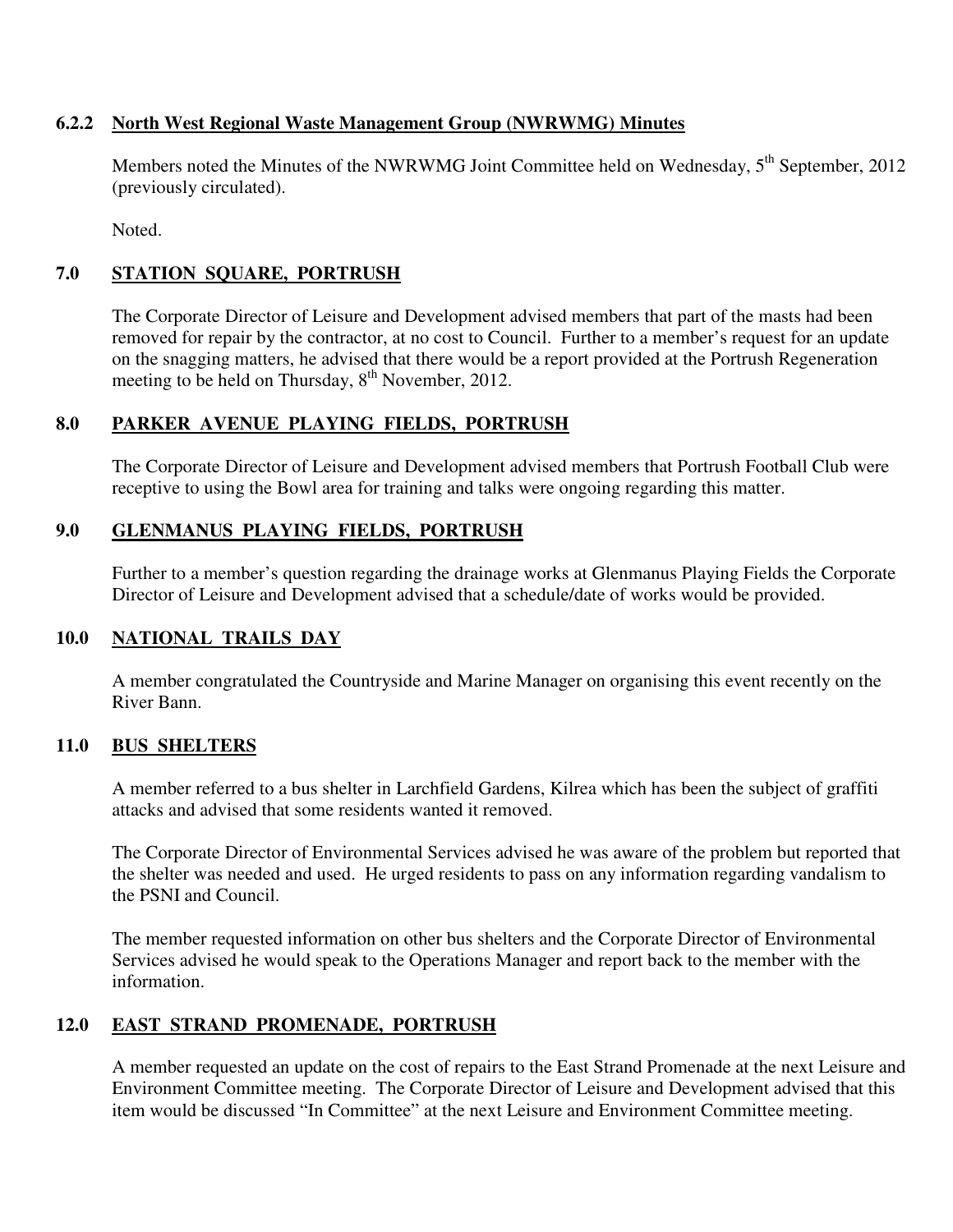## **6.2.2 North West Regional Waste Management Group (NWRWMG) Minutes**

Members noted the Minutes of the NWRWMG Joint Committee held on Wednesday, 5<sup>th</sup> September, 2012 (previously circulated).

Noted.

# **7.0 STATION SQUARE, PORTRUSH**

The Corporate Director of Leisure and Development advised members that part of the masts had been removed for repair by the contractor, at no cost to Council. Further to a member's request for an update on the snagging matters, he advised that there would be a report provided at the Portrush Regeneration meeting to be held on Thursday,  $8<sup>th</sup>$  November, 2012.

# **8.0 PARKER AVENUE PLAYING FIELDS, PORTRUSH**

The Corporate Director of Leisure and Development advised members that Portrush Football Club were receptive to using the Bowl area for training and talks were ongoing regarding this matter.

# **9.0 GLENMANUS PLAYING FIELDS, PORTRUSH**

Further to a member's question regarding the drainage works at Glenmanus Playing Fields the Corporate Director of Leisure and Development advised that a schedule/date of works would be provided.

# **10.0 NATIONAL TRAILS DAY**

A member congratulated the Countryside and Marine Manager on organising this event recently on the River Bann.

# **11.0 BUS SHELTERS**

A member referred to a bus shelter in Larchfield Gardens, Kilrea which has been the subject of graffiti attacks and advised that some residents wanted it removed.

The Corporate Director of Environmental Services advised he was aware of the problem but reported that the shelter was needed and used. He urged residents to pass on any information regarding vandalism to the PSNI and Council.

The member requested information on other bus shelters and the Corporate Director of Environmental Services advised he would speak to the Operations Manager and report back to the member with the information.

# **12.0 EAST STRAND PROMENADE, PORTRUSH**

A member requested an update on the cost of repairs to the East Strand Promenade at the next Leisure and Environment Committee meeting. The Corporate Director of Leisure and Development advised that this item would be discussed "In Committee" at the next Leisure and Environment Committee meeting.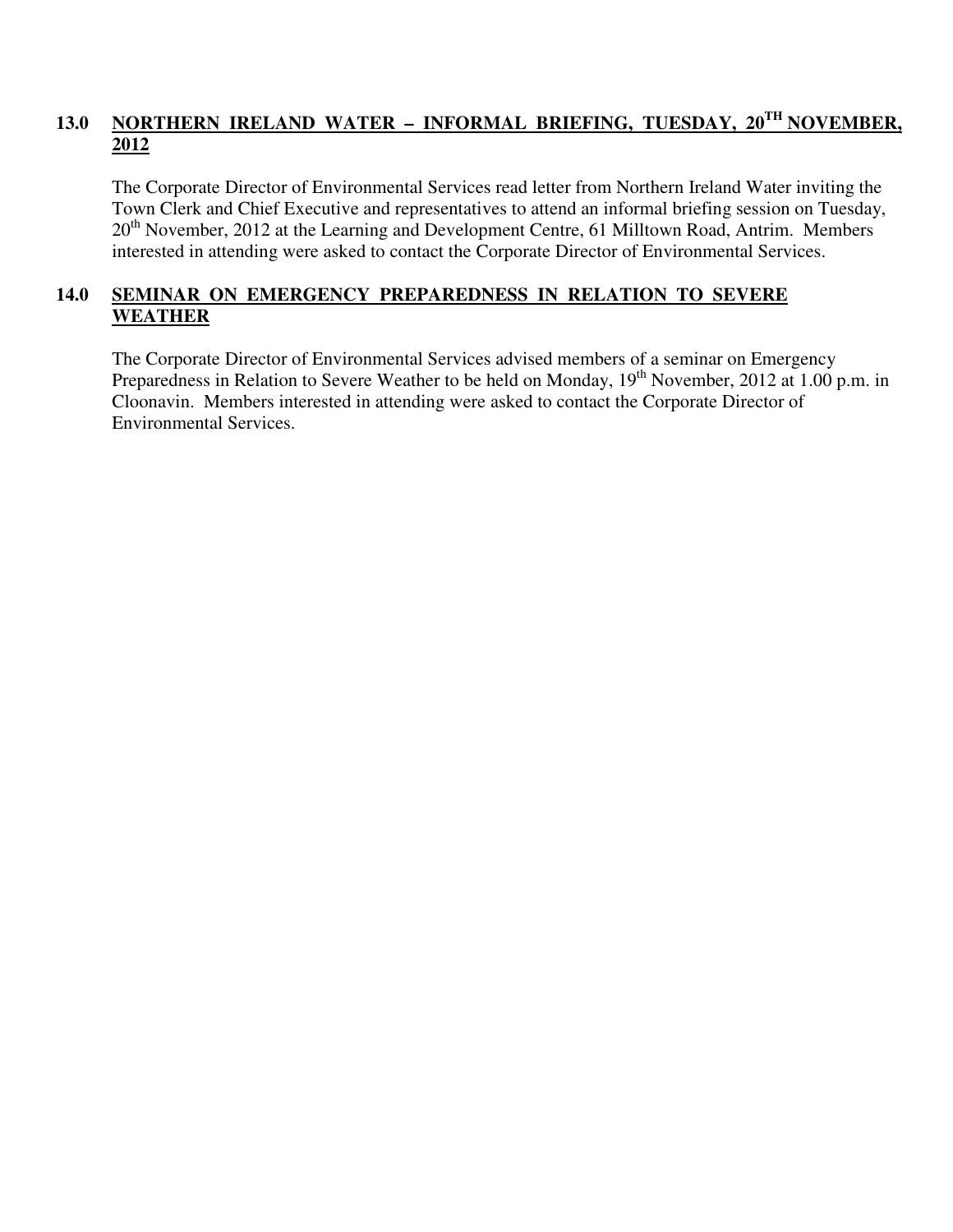# 13.0 NORTHERN IRELAND WATER - INFORMAL BRIEFING, TUESDAY, 20<sup>TH</sup> NOVEMBER, **2012**

The Corporate Director of Environmental Services read letter from Northern Ireland Water inviting the Town Clerk and Chief Executive and representatives to attend an informal briefing session on Tuesday,  $20<sup>th</sup>$  November, 2012 at the Learning and Development Centre, 61 Milltown Road, Antrim. Members interested in attending were asked to contact the Corporate Director of Environmental Services.

# **14.0 SEMINAR ON EMERGENCY PREPAREDNESS IN RELATION TO SEVERE WEATHER**

The Corporate Director of Environmental Services advised members of a seminar on Emergency Preparedness in Relation to Severe Weather to be held on Monday, 19<sup>th</sup> November, 2012 at 1.00 p.m. in Cloonavin. Members interested in attending were asked to contact the Corporate Director of Environmental Services.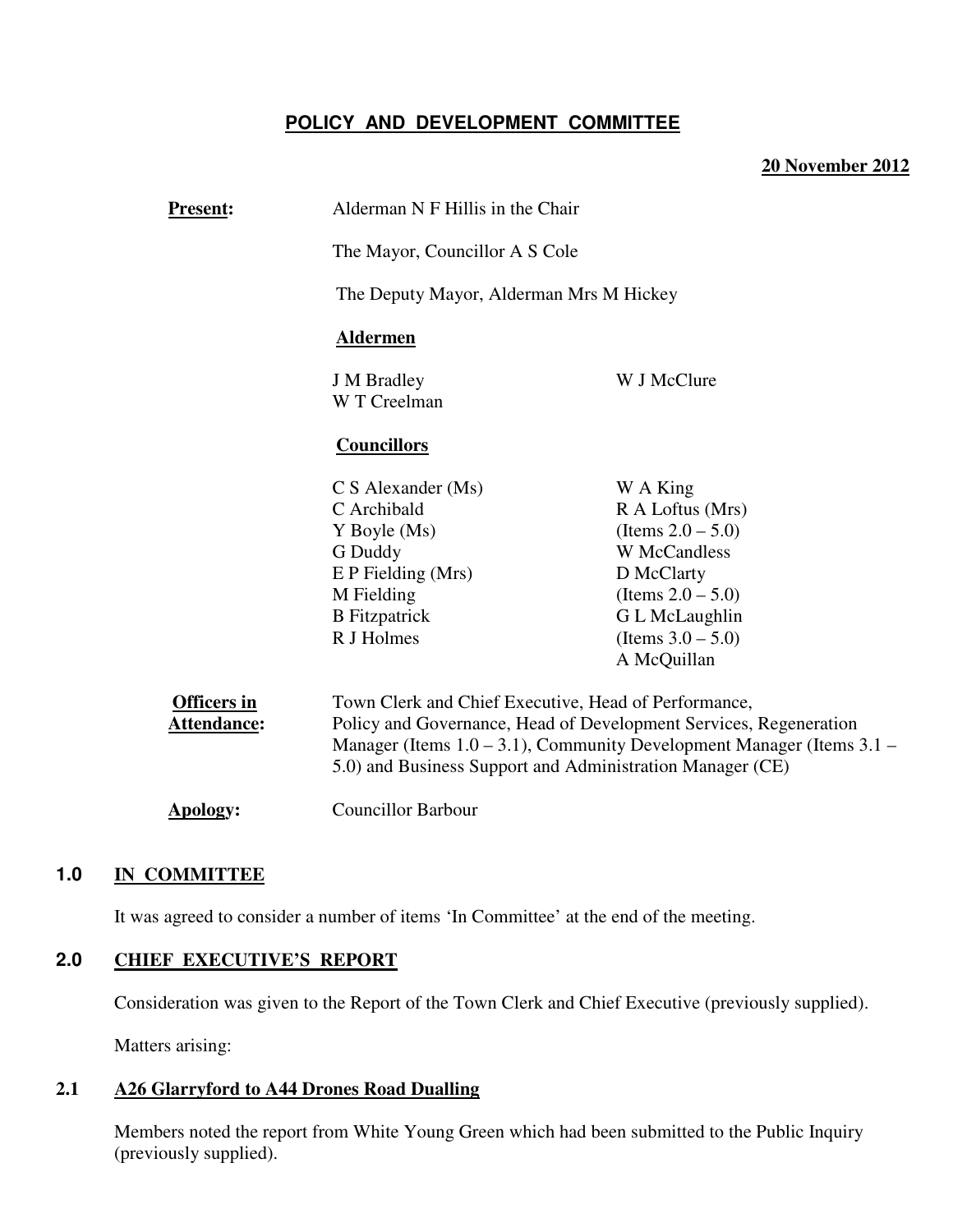# **POLICY AND DEVELOPMENT COMMITTEE**

#### **20 November 2012**

| <b>Present:</b>                          | Alderman N F Hillis in the Chair                                                                                                                                                                                                                                     |                                                      |  |
|------------------------------------------|----------------------------------------------------------------------------------------------------------------------------------------------------------------------------------------------------------------------------------------------------------------------|------------------------------------------------------|--|
|                                          | The Mayor, Councillor A S Cole                                                                                                                                                                                                                                       |                                                      |  |
|                                          | The Deputy Mayor, Alderman Mrs M Hickey<br><b>Aldermen</b>                                                                                                                                                                                                           |                                                      |  |
|                                          |                                                                                                                                                                                                                                                                      |                                                      |  |
|                                          | <b>J</b> M Bradley<br>W T Creelman                                                                                                                                                                                                                                   | W J McClure                                          |  |
|                                          | <b>Councillors</b>                                                                                                                                                                                                                                                   |                                                      |  |
|                                          | $C S$ Alexander (Ms)<br>C Archibald<br>Y Boyle (Ms)                                                                                                                                                                                                                  | W A King<br>R A Loftus (Mrs)<br>(Items $2.0 - 5.0$ ) |  |
|                                          | G Duddy                                                                                                                                                                                                                                                              | <b>W</b> McCandless                                  |  |
|                                          | $E$ P Fielding (Mrs)                                                                                                                                                                                                                                                 | D McClarty                                           |  |
|                                          | M Fielding<br><b>B</b> Fitzpatrick                                                                                                                                                                                                                                   | (Items $2.0 - 5.0$ )<br>G L McLaughlin               |  |
|                                          | R J Holmes                                                                                                                                                                                                                                                           | (Items $3.0 - 5.0$ )<br>A McQuillan                  |  |
| <b>Officers in</b><br><b>Attendance:</b> | Town Clerk and Chief Executive, Head of Performance,<br>Policy and Governance, Head of Development Services, Regeneration<br>Manager (Items $1.0 - 3.1$ ), Community Development Manager (Items $3.1 -$<br>5.0) and Business Support and Administration Manager (CE) |                                                      |  |
| Apology:                                 | <b>Councillor Barbour</b>                                                                                                                                                                                                                                            |                                                      |  |
|                                          |                                                                                                                                                                                                                                                                      |                                                      |  |

### **1.0 IN COMMITTEE**

It was agreed to consider a number of items 'In Committee' at the end of the meeting.

## **2.0 CHIEF EXECUTIVE'S REPORT**

Consideration was given to the Report of the Town Clerk and Chief Executive (previously supplied).

Matters arising:

# **2.1 A26 Glarryford to A44 Drones Road Dualling**

Members noted the report from White Young Green which had been submitted to the Public Inquiry (previously supplied).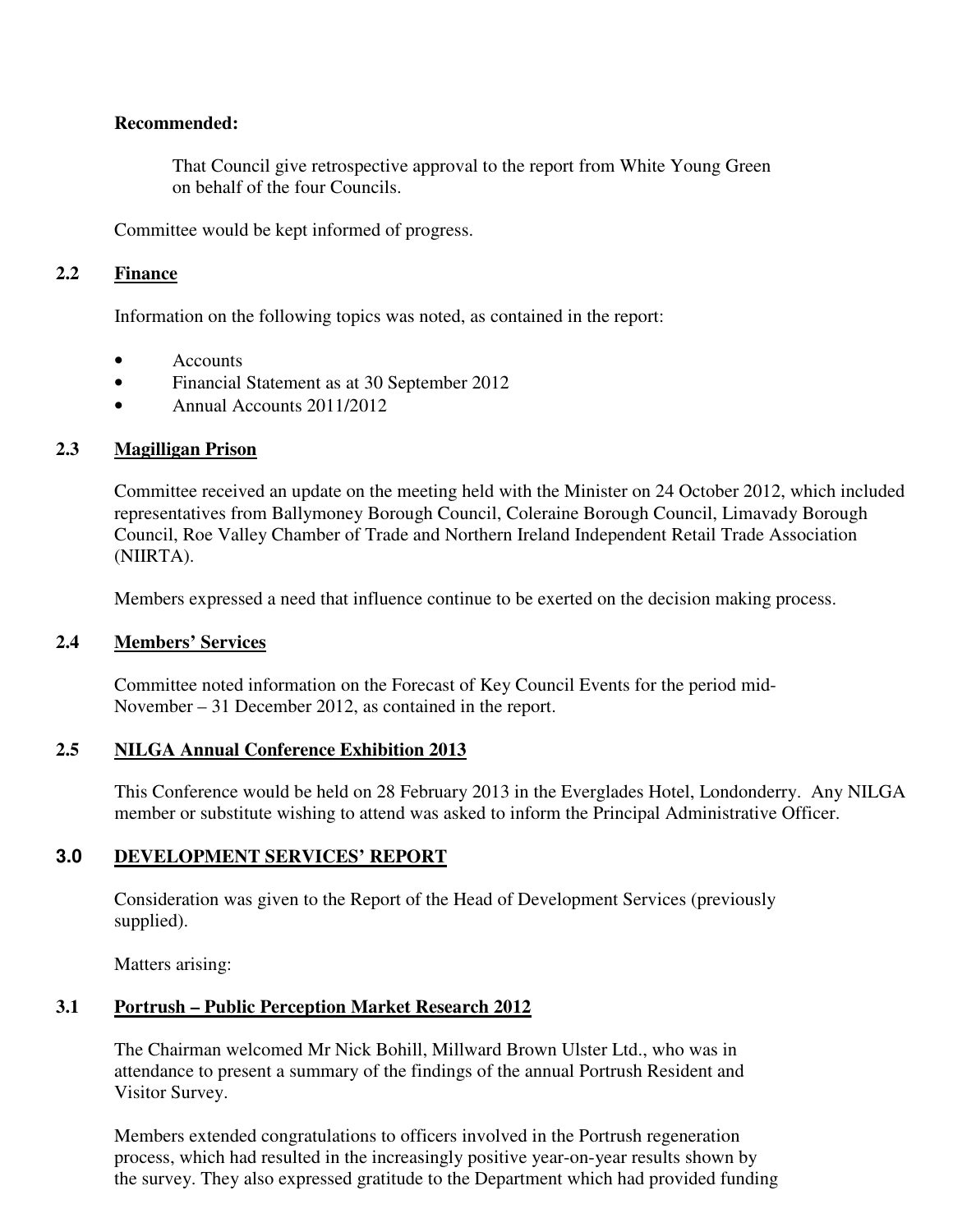### **Recommended:**

 That Council give retrospective approval to the report from White Young Green on behalf of the four Councils.

Committee would be kept informed of progress.

## **2.2 Finance**

Information on the following topics was noted, as contained in the report:

- **Accounts**
- Financial Statement as at 30 September 2012
- Annual Accounts 2011/2012

# **2.3 Magilligan Prison**

Committee received an update on the meeting held with the Minister on 24 October 2012, which included representatives from Ballymoney Borough Council, Coleraine Borough Council, Limavady Borough Council, Roe Valley Chamber of Trade and Northern Ireland Independent Retail Trade Association (NIIRTA).

Members expressed a need that influence continue to be exerted on the decision making process.

#### **2.4 Members' Services**

 Committee noted information on the Forecast of Key Council Events for the period mid- November – 31 December 2012, as contained in the report.

# **2.5 NILGA Annual Conference Exhibition 2013**

This Conference would be held on 28 February 2013 in the Everglades Hotel, Londonderry. Any NILGA member or substitute wishing to attend was asked to inform the Principal Administrative Officer.

# **3.0 DEVELOPMENT SERVICES' REPORT**

 Consideration was given to the Report of the Head of Development Services (previously supplied).

Matters arising:

# **3.1 Portrush – Public Perception Market Research 2012**

 The Chairman welcomed Mr Nick Bohill, Millward Brown Ulster Ltd., who was in attendance to present a summary of the findings of the annual Portrush Resident and Visitor Survey.

 Members extended congratulations to officers involved in the Portrush regeneration process, which had resulted in the increasingly positive year-on-year results shown by the survey. They also expressed gratitude to the Department which had provided funding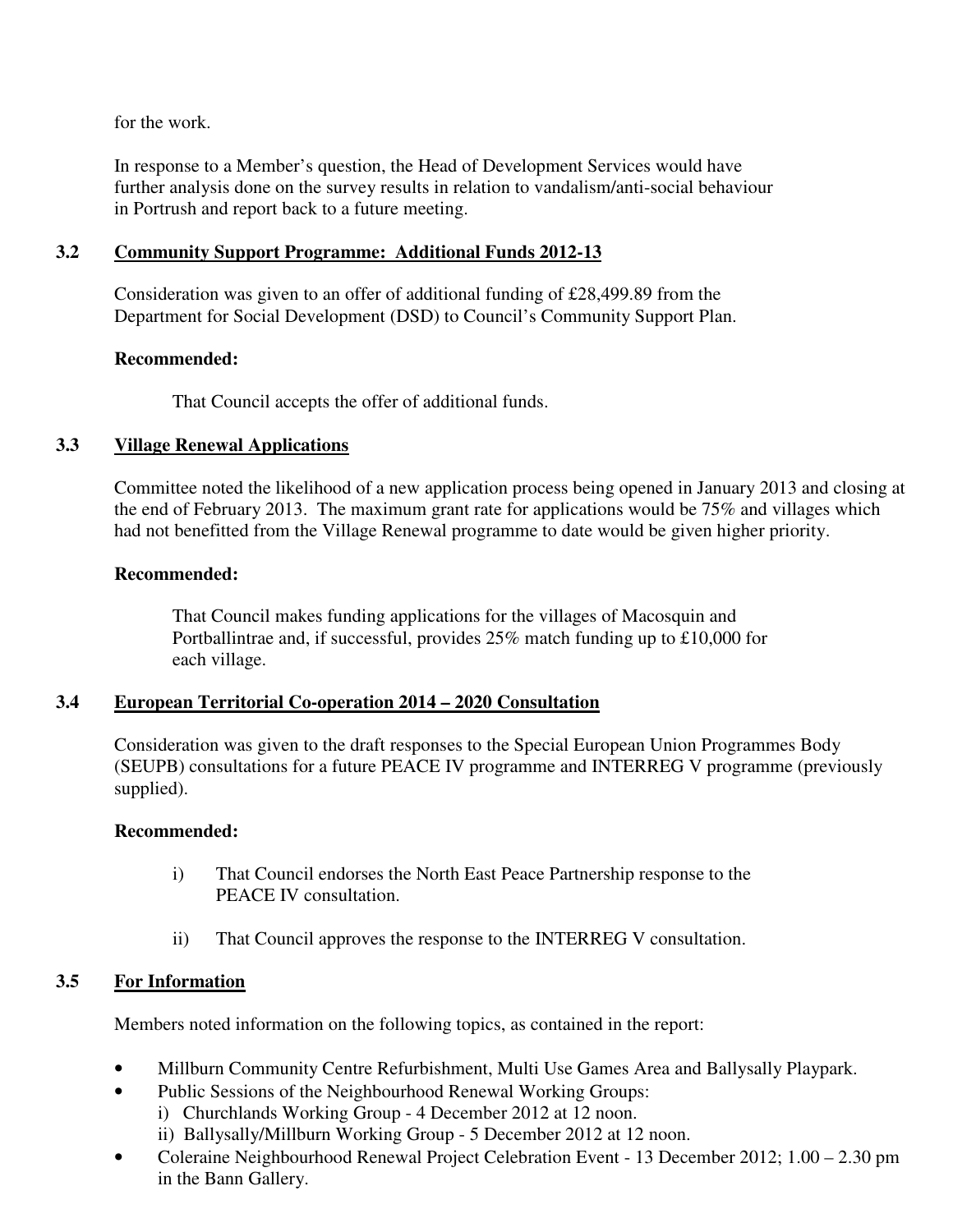for the work.

 In response to a Member's question, the Head of Development Services would have further analysis done on the survey results in relation to vandalism/anti-social behaviour in Portrush and report back to a future meeting.

## **3.2 Community Support Programme: Additional Funds 2012-13**

 Consideration was given to an offer of additional funding of £28,499.89 from the Department for Social Development (DSD) to Council's Community Support Plan.

## **Recommended:**

That Council accepts the offer of additional funds.

## **3.3 Village Renewal Applications**

 Committee noted the likelihood of a new application process being opened in January 2013 and closing at the end of February 2013. The maximum grant rate for applications would be 75% and villages which had not benefitted from the Village Renewal programme to date would be given higher priority.

#### **Recommended:**

That Council makes funding applications for the villages of Macosquin and Portballintrae and, if successful, provides 25% match funding up to £10,000 for each village.

# **3.4 European Territorial Co-operation 2014 – 2020 Consultation**

 Consideration was given to the draft responses to the Special European Union Programmes Body (SEUPB) consultations for a future PEACE IV programme and INTERREG V programme (previously supplied).

#### **Recommended:**

- i) That Council endorses the North East Peace Partnership response to the PEACE IV consultation.
- ii) That Council approves the response to the INTERREG V consultation.

# **3.5 For Information**

Members noted information on the following topics, as contained in the report:

- Millburn Community Centre Refurbishment, Multi Use Games Area and Ballysally Playpark.
- Public Sessions of the Neighbourhood Renewal Working Groups:
	- i) Churchlands Working Group 4 December 2012 at 12 noon.
	- ii) Ballysally/Millburn Working Group 5 December 2012 at 12 noon.
- Coleraine Neighbourhood Renewal Project Celebration Event 13 December 2012; 1.00 2.30 pm in the Bann Gallery.